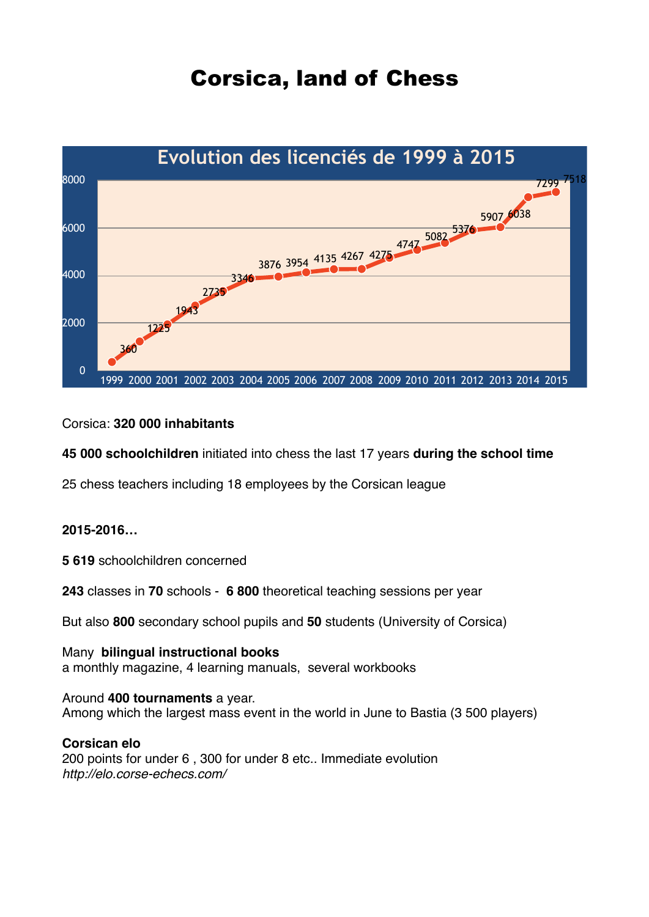# Corsica, land of Chess



### Corsica: **320 000 inhabitants**

**45 000 schoolchildren** initiated into chess the last 17 years **during the school time**

25 chess teachers including 18 employees by the Corsican league

#### **2015-2016…**

**5 619** schoolchildren concerned

**243** classes in **70** schools - **6 800** theoretical teaching sessions per year

But also **800** secondary school pupils and **50** students (University of Corsica)

Many **bilingual instructional books** a monthly magazine, 4 learning manuals, several workbooks

#### Around **400 tournaments** a year.

Among which the largest mass event in the world in June to Bastia (3 500 players)

#### **Corsican elo**

200 points for under 6 , 300 for under 8 etc.. Immediate evolution *http://elo.corse-echecs.com/*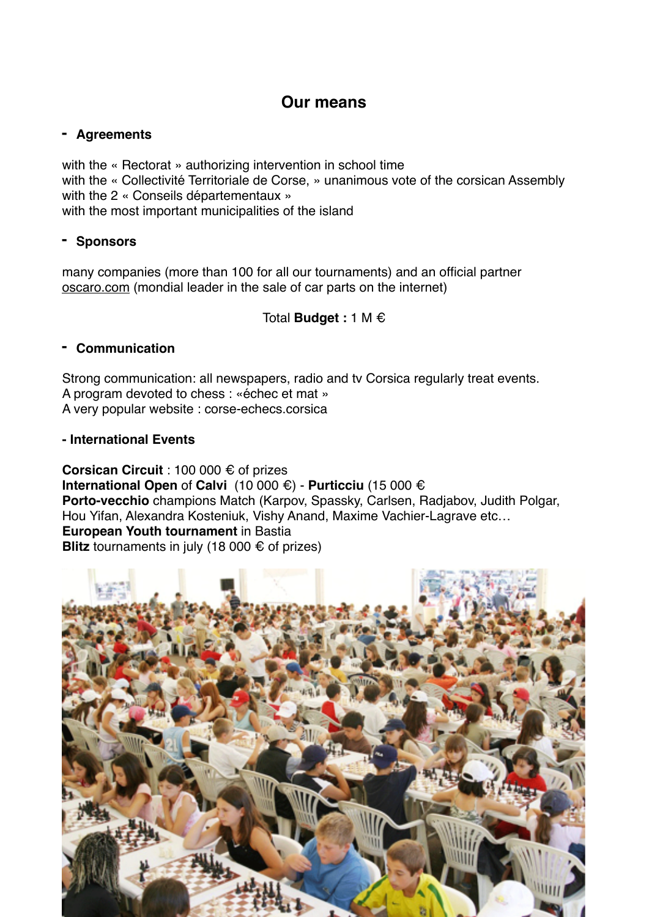# **Our means**

## **- Agreements**

with the « Rectorat » authorizing intervention in school time with the « Collectivité Territoriale de Corse, » unanimous vote of the corsican Assembly with the 2 « Conseils départementaux » with the most important municipalities of the island

# **- Sponsors**

many companies (more than 100 for all our tournaments) and an official partner [oscaro.com](http://oscaro.com) (mondial leader in the sale of car parts on the internet)

Total **Budget :** 1 M €

## **- Communication**

Strong communication: all newspapers, radio and tv Corsica regularly treat events. A program devoted to chess : «échec et mat » A very popular website : corse-echecs.corsica

### **- International Events**

**Corsican Circuit** : 100 000 € of prizes **International Open** of **Calvi** (10 000 €) - **Purticciu** (15 000 € **Porto-vecchio** champions Match (Karpov, Spassky, Carlsen, Radjabov, Judith Polgar, Hou Yifan, Alexandra Kosteniuk, Vishy Anand, Maxime Vachier-Lagrave etc… **European Youth tournament** in Bastia **Blitz** tournaments in july (18 000 € of prizes)